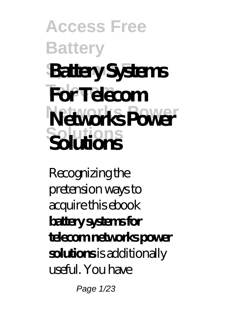# **Access Free Battery Systems For Battery Systems Telecom For Telecom Networks Power Networks Power Solutions Solutions**

Recognizing the pretension ways to acquire this ebook **battery systems for telecom networks power solutions** is additionally useful. You have

Page 1/23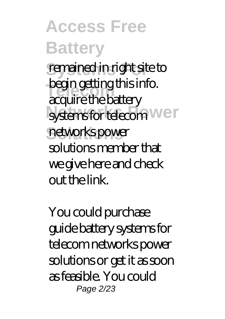remained in right site to **Tegin getung unsident**<br>acquire the battery systems for telecom<sup>Wer</sup> networks power begin getting this info. solutions member that we give here and check out the link.

You could purchase guide battery systems for telecom networks power solutions or get it as soon as feasible. You could Page 2/23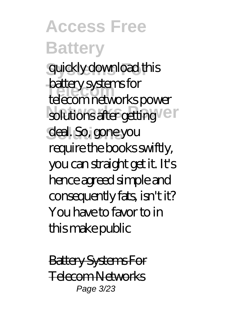**Access Free Battery** quickly download this **Telecom** telecom networks power solutions after getting deal. So, gone you battery systems for require the books swiftly, you can straight get it. It's hence agreed simple and consequently fats, isn't it? You have to favor to in this make public

Battery Systems For Telecom Networks Page 3/23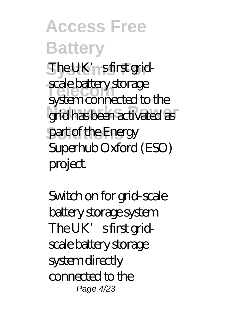**Access Free Battery** The UK'<sub>n</sub> sfirst grid-**Telecom** system connected to the grid has been activated as part of the Energy scale battery storage Superhub Oxford (ESO) project.

Switch on for grid-scale battery storage system The UK's first gridscale battery storage system directly connected to the Page 4/23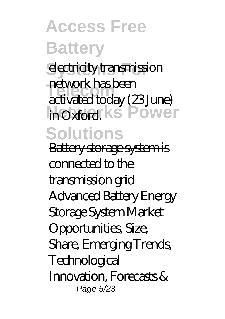electricity transmission **Telecom** activated today (23 June) in Oxford<sup>ks</sup> Power **Solutions** network has been

Battery storage system is connected to the transmission grid Advanced Battery Energy Storage System Market Opportunities, Size, Share, Emerging Trends, Technological Innovation, Forecasts & Page 5/23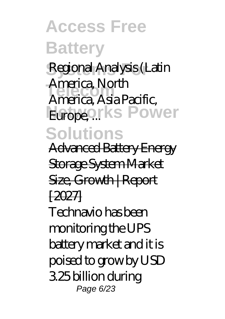**Systems For** Regional Analysis (Latin **Telecom** America, Asia Pacific, **Europeorks Power Solutions** America, North

Advanced Battery Energy

Storage System Market

Size, Growth | Report

 $12027$ 

Technavio has been monitoring the UPS battery market and it is poised to grow by USD 3.25 billion during Page 6/23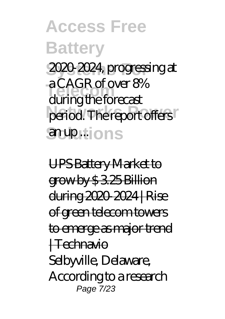**Access Free Battery Systems For** 2020-2024, progressing at **Telecom** during the forecast period. The report offers anup... ons a CAGR of over 8%

UPS Battery Market to grow by \$ 3.25 Billion during 2020-2024 | Rise of green telecom towers to emerge as major trend | Technavio Selbyville, Delaware, According to a research Page 7/23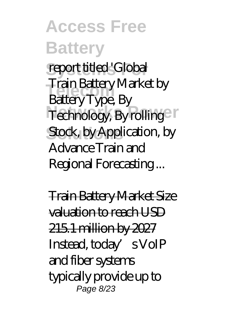#### **Access Free Battery** report titled 'Global **Telecom** Battery Type, By Technology, By rolling Stock, by Application, by Train Battery Market by Advance Train and Regional Forecasting ...

Train Battery Market Size valuation to reach USD 215.1 million by 2027 Instead, today's VoIP and fiber systems typically provide up to Page 8/23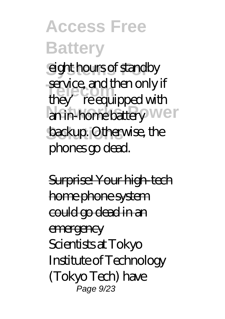eight hours of standby **Telecome Service, and then only in**<br>
they' re equipped with an in-home battery Wer backup. Otherwise, the service, and then only if phones go dead.

Surprise! Your high-tech home phone system could go dead in an emergency Scientists at Tokyo Institute of Technology (Tokyo Tech) have Page 9/23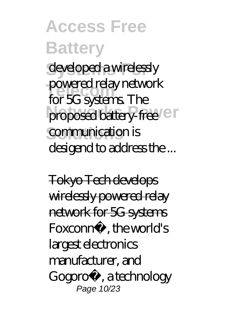developed a wirelessly **Telecom** for 5G systems. The proposed battery-free<sup>1</sup> communication is powered relay network desigend to address the ...

Tokyo Tech develops wirelessly powered relay network for 5G systems Foxconn®, the world's largest electronics manufacturer, and Gogoro®, a technology Page 10/23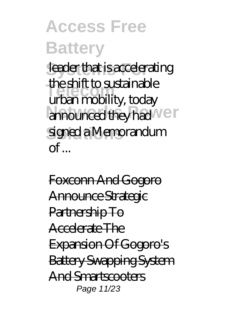leader that is accelerating **Telecom** urban mobility, today announced they had **We**r signed a Memorandum the shift to sustainable  $\alpha$ f

Foxconn And Gogoro Announce Strategic Partnership To Accelerate The Expansion Of Gogoro's Battery Swapping System And Smartscooters Page 11/23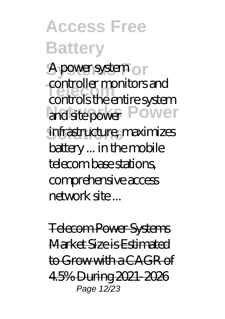A power system or controller montions and<br>controls the entire system and site power Power infrastructure, maximizes controller monitors and battery ... in the mobile telecom base stations, comprehensive access network site ...

Telecom Power Systems Market Size is Estimated to Grow with a CAGR of 4.5% During 2021-2026 Page 12/23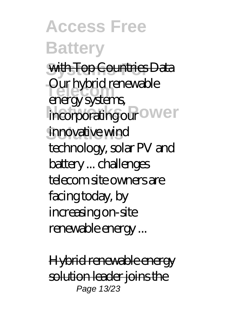**Access Free Battery Systems For** with Top Countries Data Our hybrid renewable<br>
operates **stems** incorporating our ower innovative wind energy systems, technology, solar PV and battery ... challenges telecom site owners are facing today, by increasing on-site renewable energy ...

Hybrid renewable energy solution leader joins the Page 13/23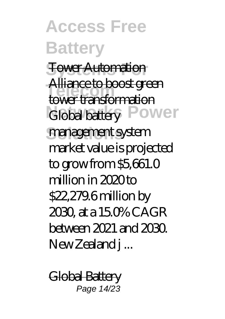**Access Free Battery Systems For** Tower Automation **Telecom** tower transformation Global battery Power management system Alliance to boost green market value is projected to grow from \$5,661.0 million in 2020 to \$22,279.6 million by 2030, at a 15.0% CAGR between 2021 and 2030. New Zealand j ...

Global Battery Page 14/23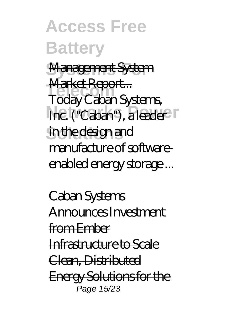**Access Free Battery Systems For** Management System <del>rvianset iseport...</del><br>Today Caban Systems, Inc. ("Caban"), a leader in the design and Market Report... manufacture of softwareenabled energy storage ...

Caban Systems Announces Investment from Ember Infrastructure to Scale Clean, Distributed Energy Solutions for the *.*<br>Раде 15/23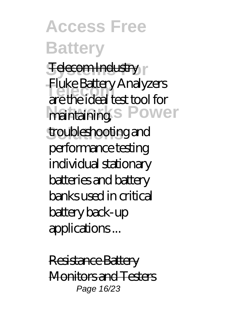#### **Access Free Battery Felecom Industry Telecom** are the ideal test tool for maintaining.S Power troubleshooting and Fluke Battery Analyzers performance testing individual stationary

batteries and battery banks used in critical battery back-up applications ...

Resistance Battery Monitors and Testers Page 16/23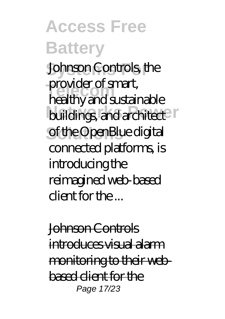**Access Free Battery Johnson Controls, the** provider of smart,<br>healthy and sustainable buildings, and architect of the OpenBlue digital provider of smart, connected platforms, is introducing the reimagined web-based client for the ...

Johnson Controls <del>introduces visual alarm</del> monitoring to their webbased client for the Page 17/23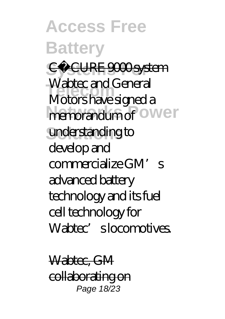**Access Free Battery Systems For** C•CURE 9000 system vablec and General<br>Motors have signed a memorandum of ower understanding to Wabtec and General develop and commercialize GM's advanced battery technology and its fuel cell technology for Wabtec's locomotives.

Wabtec, GM collaborating on Page 18/23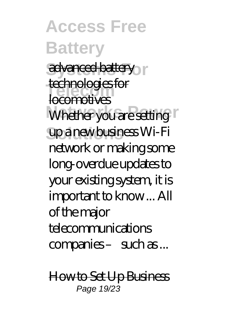**Access Free Battery** advanced battery <del>tecnnologies</del><br>locomotives Whether you are setting **Solutions** up a new business Wi-Fi technologies for network or making some long-overdue updates to your existing system, it is important to know ... All of the major telecommunications companies – such as ...

How to Set Up Business Page 19/23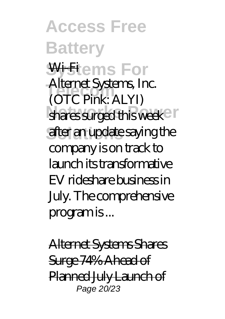**Access Free Battery <del>Will</del>ems For Telecom** (OTC Pink: ALYI) shares surged this week after an update saying the Alternet Systems, Inc. company is on track to launch its transformative EV rideshare business in July. The comprehensive program is ...

Alternet Systems Shares Surge 74% Ahead of Planned July Launch of Page 20/23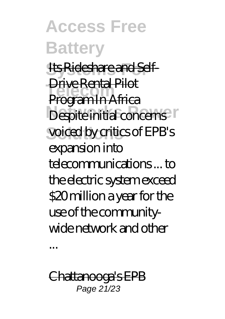**Access Free Battery** Its Rideshare and Self-**Telecom** Program In Africa Despite initial concerns voiced by critics of EPB's Drive Rental Pilot expansion into telecommunications ... to the electric system exceed \$20 million a year for the use of the communitywide network and other

Chattanooga's EPB Page 21/23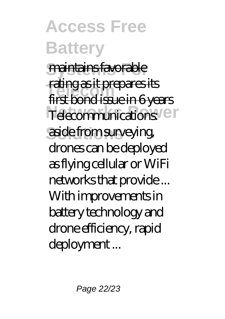**Access Free Battery Systems For** maintains favorable **Telecom** first bond issue in 6 years Telecommunications<sup>: en</sup> aside from surveying, rating as it prepares its drones can be deployed as flying cellular or WiFi networks that provide ... With improvements in battery technology and drone efficiency, rapid deployment ...